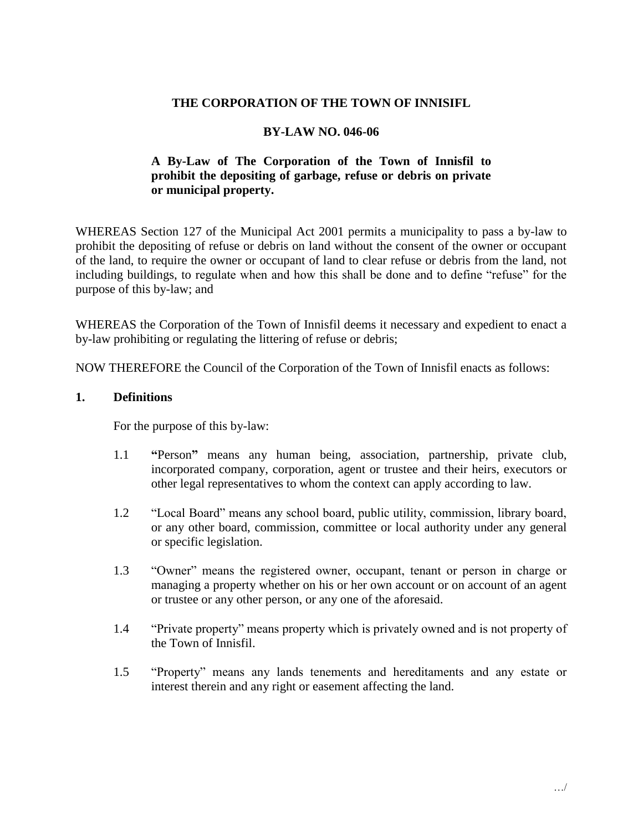#### **THE CORPORATION OF THE TOWN OF INNISIFL**

#### **BY-LAW NO. 046-06**

### **A By-Law of The Corporation of the Town of Innisfil to prohibit the depositing of garbage, refuse or debris on private or municipal property.**

 WHEREAS Section 127 of the Municipal Act 2001 permits a municipality to pass a by-law to prohibit the depositing of refuse or debris on land without the consent of the owner or occupant of the land, to require the owner or occupant of land to clear refuse or debris from the land, not including buildings, to regulate when and how this shall be done and to define "refuse" for the purpose of this by-law; and

 WHEREAS the Corporation of the Town of Innisfil deems it necessary and expedient to enact a by-law prohibiting or regulating the littering of refuse or debris;

NOW THEREFORE the Council of the Corporation of the Town of Innisfil enacts as follows:

#### **1. Definitions**

For the purpose of this by-law:

- incorporated company, corporation, agent or trustee and their heirs, executors or other legal representatives to whom the context can apply according to law. 1.1 **"**Person**"** means any human being, association, partnership, private club,
- other legal representatives to whom the context can apply according to law.<br>1.2 Tocal Board" means any school board, public utility, commission, library board, or any other board, commission, committee or local authority under any general or specific legislation.
- 1.3 "Owner" means the registered owner, occupant, tenant or person in charge or managing a property whether on his or her own account or on account of an agent or trustee or any other person, or any one of the aforesaid.
- 1.4 "Private property" means property which is privately owned and is not property of the Town of Innisfil.
- 1.5 "Property" means any lands tenements and hereditaments and any estate or interest therein and any right or easement affecting the land.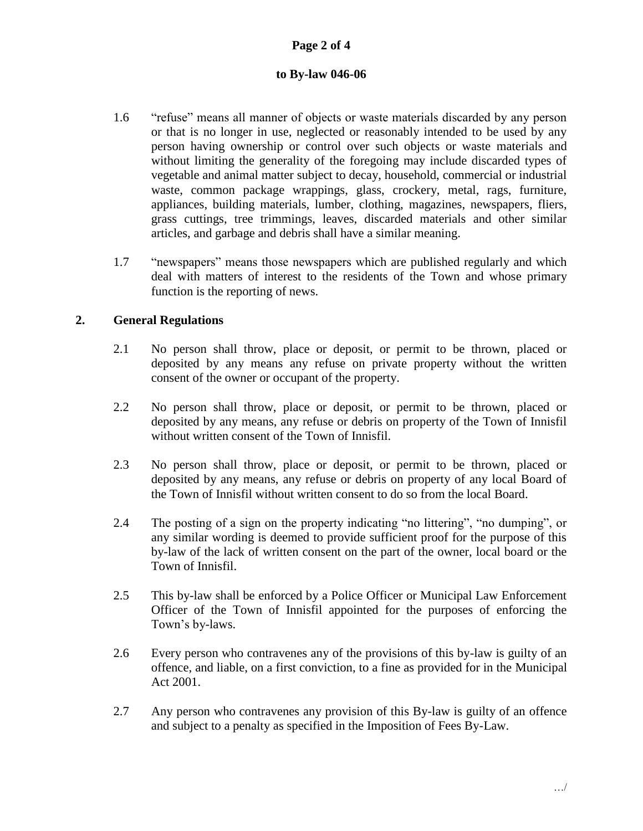## **Page 2 of 4**

#### **to By-law 046-06**

- 1.6 "refuse" means all manner of objects or waste materials discarded by any person or that is no longer in use, neglected or reasonably intended to be used by any without limiting the generality of the foregoing may include discarded types of waste, common package wrappings, glass, crockery, metal, rags, furniture, grass cuttings, tree trimmings, leaves, discarded materials and other similar person having ownership or control over such objects or waste materials and vegetable and animal matter subject to decay, household, commercial or industrial appliances, building materials, lumber, clothing, magazines, newspapers, fliers, articles, and garbage and debris shall have a similar meaning.
- 1.7 "newspapers" means those newspapers which are published regularly and which deal with matters of interest to the residents of the Town and whose primary function is the reporting of news.

#### **2. General Regulations**

- deposited by any means any refuse on private property without the written 2.1 No person shall throw, place or deposit, or permit to be thrown, placed or consent of the owner or occupant of the property.
- deposited by any means, any refuse or debris on property of the Town of Innisfil 2.2 No person shall throw, place or deposit, or permit to be thrown, placed or without written consent of the Town of Innisfil.
- deposited by any means, any refuse or debris on property of any local Board of 2.3 No person shall throw, place or deposit, or permit to be thrown, placed or the Town of Innisfil without written consent to do so from the local Board.
- any similar wording is deemed to provide sufficient proof for the purpose of this by-law of the lack of written consent on the part of the owner, local board or the 2.4 The posting of a sign on the property indicating "no littering", "no dumping", or Town of Innisfil.
- Officer of the Town of Innisfil appointed for the purposes of enforcing the 2.5 This by-law shall be enforced by a Police Officer or Municipal Law Enforcement Town's by-laws.
- offence, and liable, on a first conviction, to a fine as provided for in the Municipal 2.6 Every person who contravenes any of the provisions of this by-law is guilty of an Act 2001.
- 2.7 Any person who contravenes any provision of this By-law is guilty of an offence and subject to a penalty as specified in the Imposition of Fees By-Law.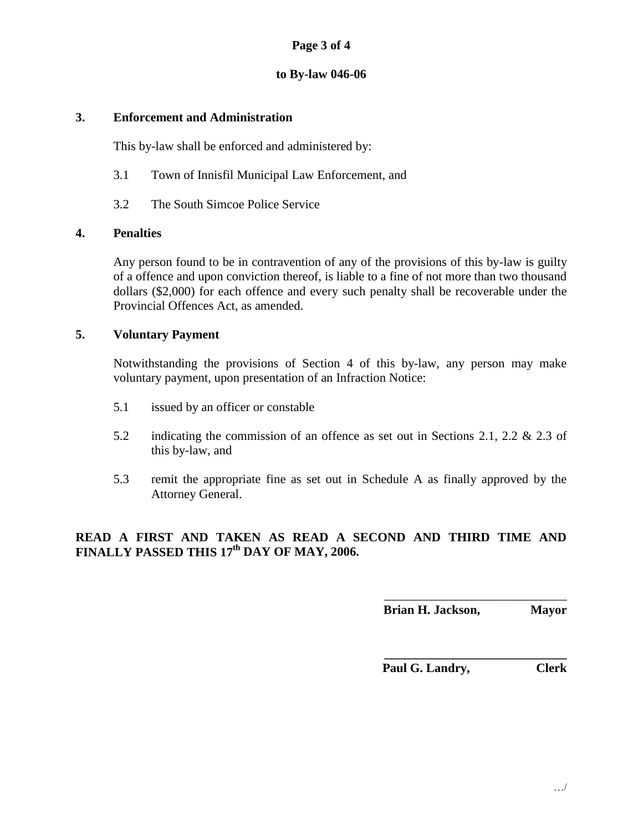### **Page 3 of 4**

#### **to By-law 046-06**

#### **3. Enforcement and Administration**

This by-law shall be enforced and administered by:

- 3.1 Town of Innisfil Municipal Law Enforcement, and
- 3.2 The South Simcoe Police Service

#### **4. Penalties**

 Any person found to be in contravention of any of the provisions of this by-law is guilty dollars (\$2,000) for each offence and every such penalty shall be recoverable under the of a offence and upon conviction thereof, is liable to a fine of not more than two thousand Provincial Offences Act, as amended.

#### **5. Voluntary Payment**

 Notwithstanding the provisions of Section 4 of this by-law, any person may make voluntary payment, upon presentation of an Infraction Notice:

- 5.1 issued by an officer or constable
- 5.2 indicating the commission of an offence as set out in Sections 2.1, 2.2  $& 2.3$  of this by-law, and
- 5.3 remit the appropriate fine as set out in Schedule A as finally approved by the Attorney General.

### **READ A FIRST AND TAKEN AS READ A SECOND AND THIRD TIME AND FINALLY PASSED THIS 17th DAY OF MAY, 2006.**

\_\_\_\_\_\_\_\_\_\_\_\_\_\_\_\_\_\_\_\_\_\_\_\_\_\_\_\_\_ **Brian H. Jackson, Mayor** 

**\_\_\_\_\_\_\_\_\_\_\_\_\_\_\_\_\_\_\_\_\_\_\_\_\_\_\_\_\_ Paul G. Landry, Clerk**